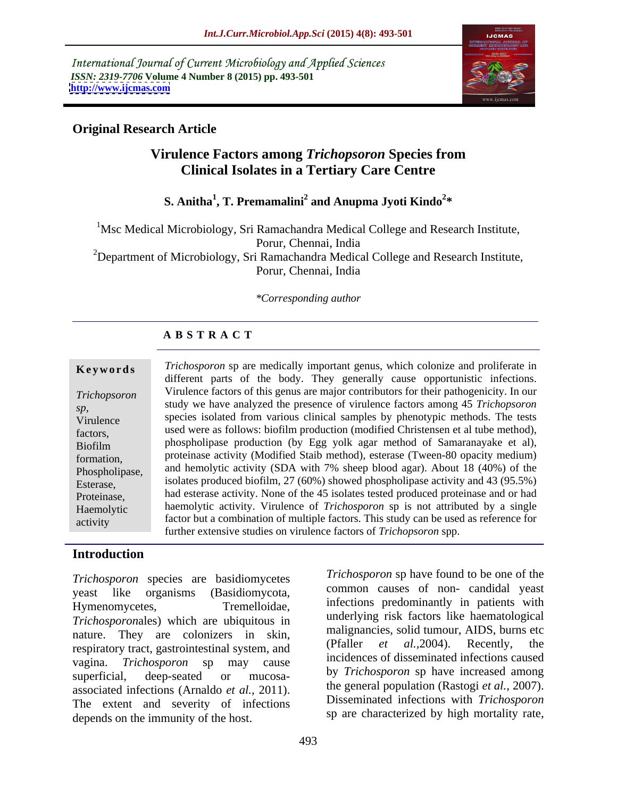International Journal of Current Microbiology and Applied Sciences *ISSN: 2319-7706* **Volume 4 Number 8 (2015) pp. 493-501 <http://www.ijcmas.com>**



### **Original Research Article**

### **Virulence Factors among** *Trichopsoron* **Species from Clinical Isolates in a Tertiary Care Centre**

#### **S. Anitha<sup>1</sup> , T. Premamalini<sup>2</sup> and Anupma Jyoti Kindo<sup>2</sup> \***

<sup>1</sup>Msc Medical Microbiology, Sri Ramachandra Medical College and Research Institute, Porur, Chennai, India <sup>2</sup>Department of Microbiology, Sri Ramachandra Medical College and Research Institute, Porur, Chennai, India

*\*Corresponding author*

#### **A B S T R A C T**

activity

**Keywords** *Trichosporon* sp are medically important genus, which colonize and proliferate in different parts of the body. They generally cause opportunistic infections. Virulence factors of this genus are major contributors for their pathogenicity. In our *Trichopsoron* study we have analyzed the presence of virulence factors among 45 *Trichopsoron* sp,<br>Virulence species isolated from various clinical samples by phenotypic methods. The tests factors, used were as follows: biofilm production (modified Christensen et al tube method), phospholipase production (by Egg yolk agar method of Samaranayake et al), Biofilm proteinase activity (Modified Staib method), esterase (Tween-80 opacity medium) formation, Phospholipase, and hemolytic activity (SDA with 7% sheep blood agar). About 18 (40%) of the Esterase, isolates produced biofilm, 27 (60%) showed phospholipase activity and 43 (95.5%) Proteinase, had esterase activity. None of the 45 isolates tested produced proteinase and or had Haemolytic haemolytic activity. Virulence of *Trichosporon* sp is not attributed by a single factor but a combination of multiple factors. This study can be used as reference for further extensive studies on virulence factors of *Trichopsoron* spp.

### **Introduction**

*Trichosporon* species are basidiomycetes yeast like organisms (Basidiomycota, Hymenomycetes, Tremelloidae, infections predominantly in patients with *Trichosporon*ales) which are ubiquitous in nature. They are colonizers in skin, manipulaties, solid tumour, AIDS, burns etc.<br>receptively treat accreditectinel system and (Pfaller *et al.*, 2004). Recently, the respiratory tract, gastrointestinal system, and vagina. *Trichosporon* sp may cause superficial, deep-seated or mucosa-<br> associated infections (Arnaldo *et al.,* 2011). The extent and severity of infections depends on the immunity of the host.

incidences of disseminated infections caused by *Trichosporon* sp have increased among the general population (Rastogi *et al.,* 2007). Disseminated infections with *Trichosporon* sp are characterized by high mortality rate,

*Trichosporon* sp have found to be one of the common causes of non- candidal yeast

underlying risk factors like haematological malignancies, solid tumour, AIDS, burns etc

(Pfaller *et al.,*2004). Recently, the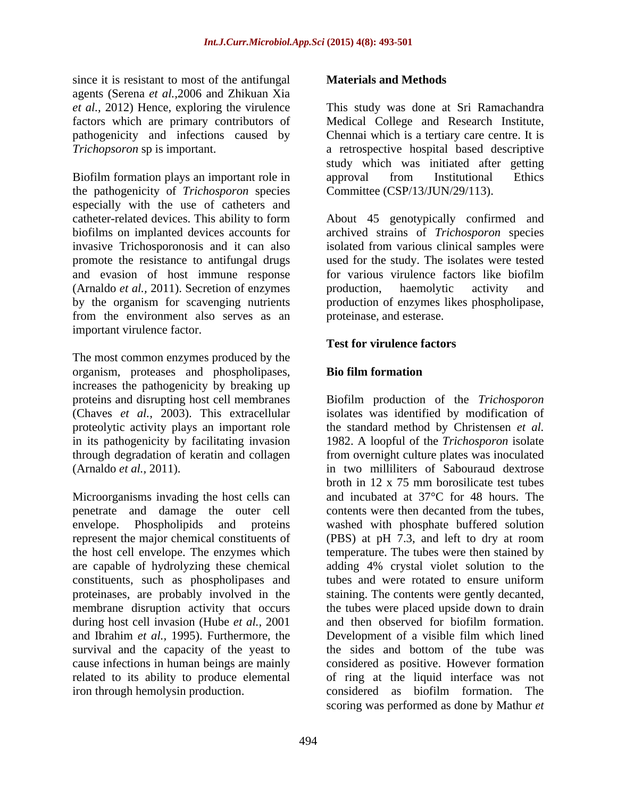since it is resistant to most of the antifungal **Materials and Methods** agents (Serena *et al.,*2006 and Zhikuan Xia *et al.,* 2012) Hence, exploring the virulence pathogenicity and infections caused by

Biofilm formation plays an important role in approval from Institutional Ethics the pathogenicity of *Trichosporon* species especially with the use of catheters and catheter-related devices. This ability to form About 45 genotypically confirmed and biofilms on implanted devices accounts for archived strains of *Trichosporon* species invasive Trichosporonosis and it can also isolated from various clinical samples were promote the resistance to antifungal drugs and evasion of host immune response for various virulence factors like biofilm (Arnaldo *et al.,* 2011). Secretion of enzymes by the organism for scavenging nutrients production of enzymes likes phospholipase, from the environment also serves as an *proteinase*, and esterase. important virulence factor.

The most common enzymes produced by the organism, proteases and phospholipases, increases the pathogenicity by breaking up

Microorganisms invading the host cells can penetrate and damage the outer cell are capable of hydrolyzing these chemical constituents, such as phospholipases and tubes and were rotated to ensure uniform during host cell invasion (Hube *et al.,* 2001 survival and the capacity of the yeast to

#### **Materials and Methods**

factors which are primary contributors of Medical College and Research Institute, *Trichopsoron* sp is important. a retrospective hospital based descriptive This study was done at Sri Ramachandra Chennai which is a tertiary care centre. It is study which was initiated after getting approval from Institutional Ethics Committee (CSP/13/JUN/29/113).

> used for the study. The isolates were tested for various virulence factors like biofilm production, haemolytic activity and proteinase, and esterase.

#### **Test for virulence factors**

#### **Bio film formation**

proteins and disrupting host cell membranes Biofilm production of the *Trichosporon* (Chaves *et al.,* 2003). This extracellular isolates was identified by modification of proteolytic activity plays an important role the standard method by Christensen *et al.* in its pathogenicity by facilitating invasion 1982. A loopful of the *Trichosporon* isolate through degradation of keratin and collagen from overnight culture plates was inoculated (Arnaldo *et al.,* 2011). in two milliliters of Sabouraud dextrose envelope. Phospholipids and proteins washed with phosphate buffered solution represent the major chemical constituents of (PBS) at pH 7.3, and left to dry at room the host cell envelope. The enzymes which temperature. The tubes were then stained by proteinases, are probably involved in the staining. The contents were gently decanted, membrane disruption activity that occurs the tubes were placed upside down to drain and Ibrahim *et al.,* 1995). Furthermore, the Development of a visible film which lined cause infections in human beings are mainly considered as positive. However formation related to its ability to produce elemental of ring at the liquid interface was not iron through hemolysin production. considered as biofilm formation. The broth in 12 x 75 mm borosilicate test tubes and incubated at 37°C for 48 hours. The contents were then decanted from the tubes, adding 4% crystal violet solution to the tubes and were rotated to ensure uniform and then observed for biofilm formation. the sides and bottom of the tube was scoring was performed as done by Mathur *et*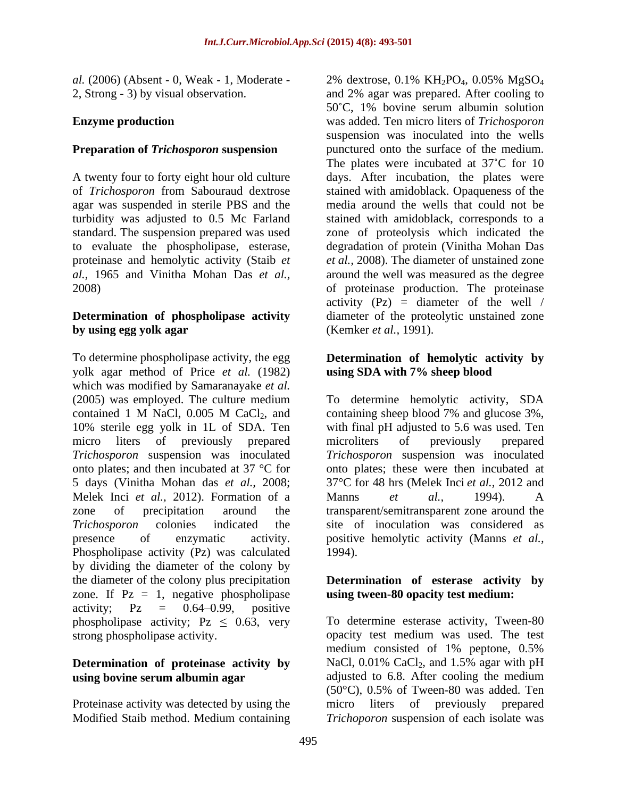*al.* (2006) (Absent - 0, Weak - 1, Moderate - 2% dextrose, 0.1% KH<sub>2</sub>PO<sub>4</sub>, 0.05% MgSO<sub>4</sub>

#### **Preparation of** *Trichosporon* **suspension**

agar was suspended in sterile PBS and the turbidity was adjusted to 0.5 Mc Farland proteinase and hemolytic activity (Staib *et al.*, 1965 and Vinitha Mohan Das *et al.*,

## **by using egg yolk agar** (Kemker *et al.*, 1991).

To determine phospholipase activity, the egg **Determination of hemolytic activity by** yolk agar method of Price *et al.* (1982) which was modified by Samaranayake *et al.* (2005) was employed. The culture medium To determine hemolytic activity, SDA contained 1 M NaCl,  $0.005$  M CaCl<sub>2</sub>, and containing sheep blood 7% and glucose 3%, 10% sterile egg yolk in 1L of SDA. Ten with final pH adjusted to 5.6 was used. Ten micro liters of previously prepared microliters of previously prepared *Trichosporon* suspension was inoculated *Trichosporon* suspension was inoculated onto plates; and then incubated at 37 °C for onto plates; these were then incubated at 5 days (Vinitha Mohan das *et al.,* 2008; 37°C for 48 hrs (Melek Inci *et al.,* 2012 and Melek Inci *et al.*, 2012). Formation of a Manns *et al.*, 1994). A zone of precipitation around the transparent/semitransparent zone around the *Trichosporon* colonies indicated the site of inoculation was considered as presence of enzymatic activity. positive hemolytic activity (Manns *et al.,* Phospholipase activity (Pz) was calculated 1994). by dividing the diameter of the colony by the diameter of the colony plus precipitation **Determination of esterase activity by** zone. If  $Pz = 1$ , negative phospholipase activity;  $Pz = 0.64{\text{-}}0.99$ , positive phospholipase activity;  $Pz \leq 0.63$ , very

# **Determination** of **proteinase activity** by NaCl, 0.01% CaCl<sub>2</sub>, and 1.5% agar with pH

Proteinase activity was detected by using the micro liters of previously prepared

2, Strong - 3) by visual observation. and 2% agar was prepared. After cooling to **Enzyme production** was added. Ten micro liters of *Trichosporon* A twenty four to forty eight hour old culture days. After incubation, the plates were of *Trichosporon* from Sabouraud dextrose stained with amidoblack. Opaqueness of the standard. The suspension prepared was used zone of proteolysis which indicated the to evaluate the phospholipase, esterase, degradation of protein (Vinitha Mohan Das *al.,* 1965 and Vinitha Mohan Das *et al.,* around the well was measured as the degree 2008) of proteinase production. The proteinase **Determination of phospholipase activity** diameter of the proteolytic unstained zone 2% dextrose,  $0.1\% \text{ KH}_2\text{PO}_4$ ,  $0.05\% \text{ MgSO}_4$ 50 C, 1% bovine serum albumin solution suspension was inoculated into the wells punctured onto the surface of the medium. The plates were incubated at  $37^{\circ}$ C for 10 media around the wells that could not be stained with amidoblack, corresponds to a *et al.,* 2008). The diameter of unstained zone activity  $(Pz) =$  diameter of the well / (Kemker *et al.,* 1991).

## **using SDA with 7% sheep blood**

containing sheep blood 7% and glucose 3%, microliters of previously prepared Manns *et al.,* 1994). A 1994).

## **using tween-80 opacity test medium:**

strong phospholipase activity. opacity test medium was used. The test **using bovine serum albumin agar** Modified Staib method. Medium containing *Trichoporon* suspension of each isolate wasTo determine esterase activity, Tween-80 medium consisted of 1% peptone, 0.5% NaCl,  $0.01\%$  CaCl<sub>2</sub>, and 1.5% agar with pH adjusted to 6.8. After cooling the medium (50°C), 0.5% of Tween-80 was added. Ten micro liters of previously prepared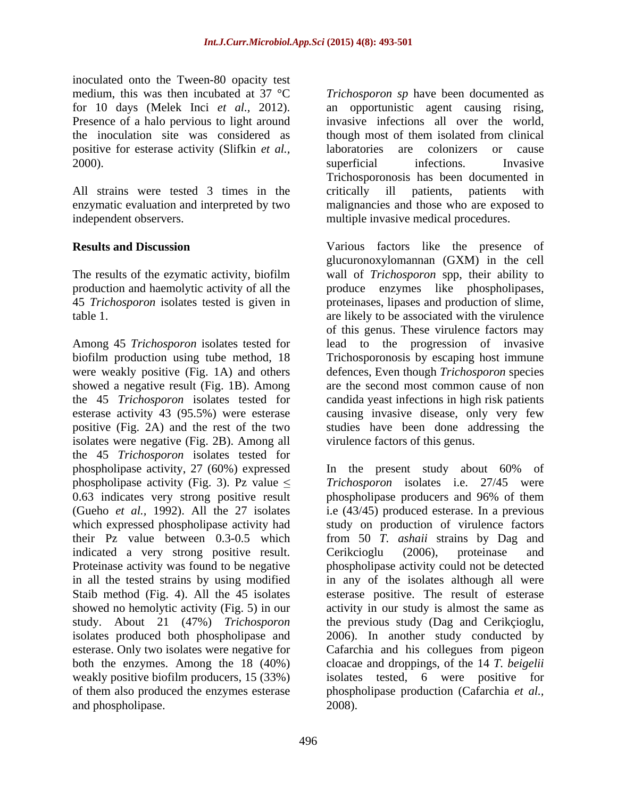inoculated onto the Tween-80 opacity test the inoculation site was considered as positive for esterase activity (Slifkin *et al.,*

All strains were tested 3 times in the critically ill patients, patients with independent observers. multiple invasive medical procedures.

The results of the ezymatic activity, biofilm

Among 45 *Trichosporon* isolates tested for lead to the progression of invasive biofilm production using tube method, 18 Trichosporonosis by escaping host immune were weakly positive (Fig. 1A) and others defences, Even though *Trichosporon* species showed a negative result (Fig. 1B). Among the 45 *Trichosporon* isolates tested for candida yeast infections in high risk patients esterase activity 43 (95.5%) were esterase causing invasive disease, only very few positive (Fig. 2A) and the rest of the two isolates were negative (Fig. 2B). Among all the 45 *Trichosporon* isolates tested for phospholipase activity, 27 (60%) expressed In the present study about 60% of indicated a very strong positive result. Cerikcioglu (2006), proteinase and and phospholipase. 2008).

medium, this was then incubated at 37 °C *Trichosporon sp* have been documented as for 10 days (Melek Inci *et al.,* 2012). an opportunistic agent causing rising, Presence of a halo pervious to light around invasive infections all over the world, 2000). Superficial infections. Invasive enzymatic evaluation and interpreted by two malignancies and those who are exposed to though most of them isolated from clinical laboratories are colonizers or cause superficial infections. Invasive Trichosporonosis has been documented in critically ill patients, patients with

**Results and Discussion** Various factors like the presence of production and haemolytic activity of all the produce enzymes like phospholipases, 45 *Trichosporon* isolates tested is given in proteinases, lipases and production of slime, table 1. are likely to be associated with the virulence glucuronoxylomannan (GXM) in the cell wall of *Trichosporon* spp, their ability to of this genus. These virulence factors may are the second most common cause of non studies have been done addressing the virulence factors of this genus.

phospholipase activity (Fig. 3). Pz value *Trichosporon* isolates i.e. 27/45 were 0.63 indicates very strong positive result phospholipase producers and 96% of them (Gueho *et al.,* 1992). All the 27 isolates i.e (43/45) produced esterase. In a previous which expressed phospholipase activity had study on production of virulence factors their Pz value between 0.3-0.5 which from 50 *T. ashaii* strains by Dag and Proteinase activity was found to be negative phospholipase activity could not be detected in all the tested strains by using modified in any of the isolates although all were Staib method (Fig. 4). All the 45 isolates esterase positive. The result of esterase showed no hemolytic activity (Fig. 5) in our activity in our study is almost the same as study. About 21 (47%) *Trichosporon* the previous study (Dag and Cerikçioglu, isolates produced both phospholipase and 2006). In another study conducted by esterase. Only two isolates were negative for Cafarchia and his collegues from pigeon both the enzymes. Among the 18 (40%) cloacae and droppings, of the 14 *T. beigelii* weakly positive biofilm producers, 15 (33%) isolates tested, 6 were positive for of them also produced the enzymes esterase phospholipase production (Cafarchia *et al.,* In the present study about 60% of Cerikcioglu (2006), proteinase and 2008).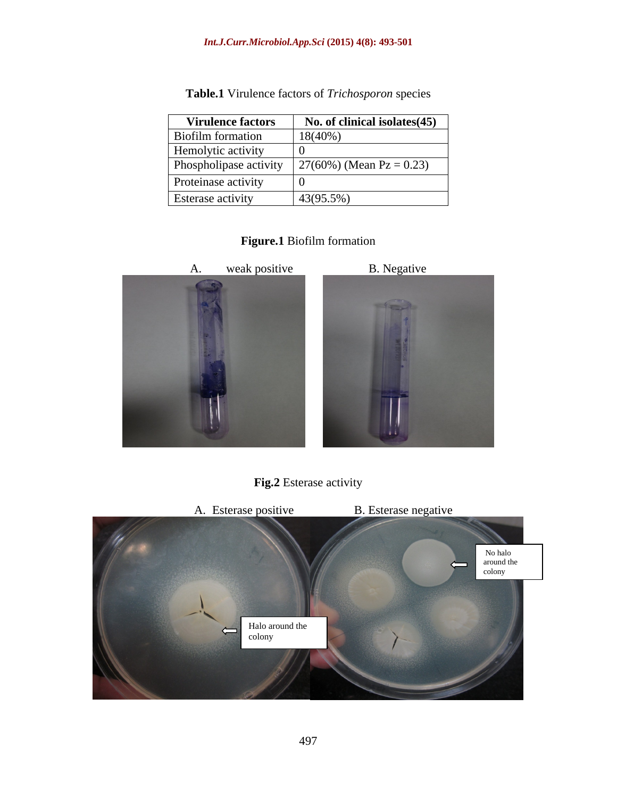| <b>Virulence factors</b> | No. of clinical isolates (45) |
|--------------------------|-------------------------------|
| Biofilm formation        | $18(40\%)$                    |
| Hemolytic activity       |                               |
| Phospholipase activity   | $27(60%)$ (Mean Pz = 0.23)    |
| Proteinase activity      |                               |
| <b>Esterase activity</b> | $43(95.5\%)$                  |

**Table.1** Virulence factors of *Trichosporon* species

### **Figure.1** Biofilm formation





**Fig.2** Esterase activity

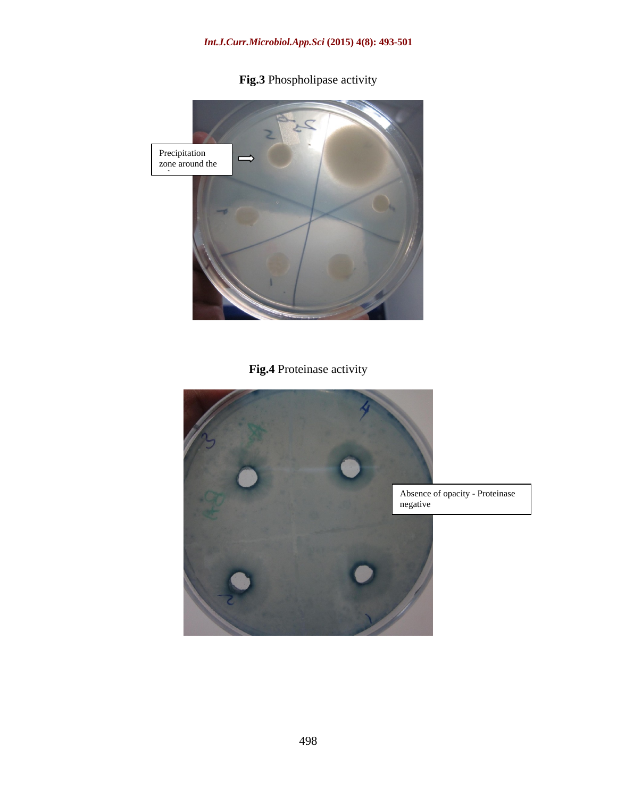

**Fig.3** Phospholipase activity

## **Fig.4** Proteinase activity



Absence of opacity - Proteinase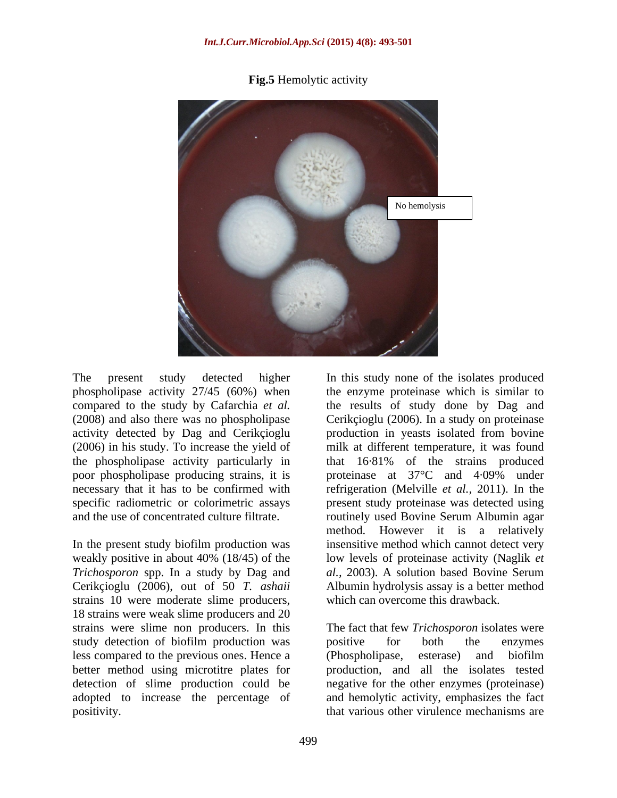**Fig.5** Hemolytic activity



(2006) in his study. To increase the yield of the phospholipase activity particularly in that 16.81% of the strains produced poor phospholipase producing strains, it is proteinase at 37°C and 4.09% under

In the present study biofilm production was Cerikçioglu (2006), out of 50 *T. ashaii* strains 10 were moderate slime producers, 18 strains were weak slime producers and 20 strains were slime non producers. In this strains were slime non producers. In this The fact that few *Trichosporon* isolates were study detection of biofilm production was positive for both the enzymes less compared to the previous ones. Hence a better method using microtitre plates for detection of slime production could be negative for the other enzymes (proteinase) adopted to increase the percentage of positivity. that various other virulence mechanisms are

The present study detected higher In this study none of the isolates produced phospholipase activity 27/45 (60%) when the enzyme proteinase which is similar to compared to the study by Cafarchia *et al.* the results of study done by Dag and (2008) and also there was no phospholipase Cerikçioglu (2006). In a study on proteinase activity detected by Dag and Cerikçioglu production in yeasts isolated from bovine necessary that it has to be confirmed with refrigeration (Melville *et al.*, 2011). In the specific radiometric or colorimetric assays present study proteinase was detected using and the use of concentrated culture filtrate. routinely used Bovine Serum Albumin agar weakly positive in about 40% (18/45) of the low levels of proteinase activity (Naglik *et Trichosporon* spp. In a study by Dag and *al.,* 2003). A solution based Bovine Serum milk at different temperature, it was found that 16·81% of the strains produced proteinase at 37°C and 4·09% under method. However it is a relatively insensitive method which cannot detect very Albumin hydrolysis assay is a better method which can overcome this drawback.

> positive for both the enzymes (Phospholipase, esterase) and biofilm production, and all the isolates tested and hemolytic activity, emphasizes the fact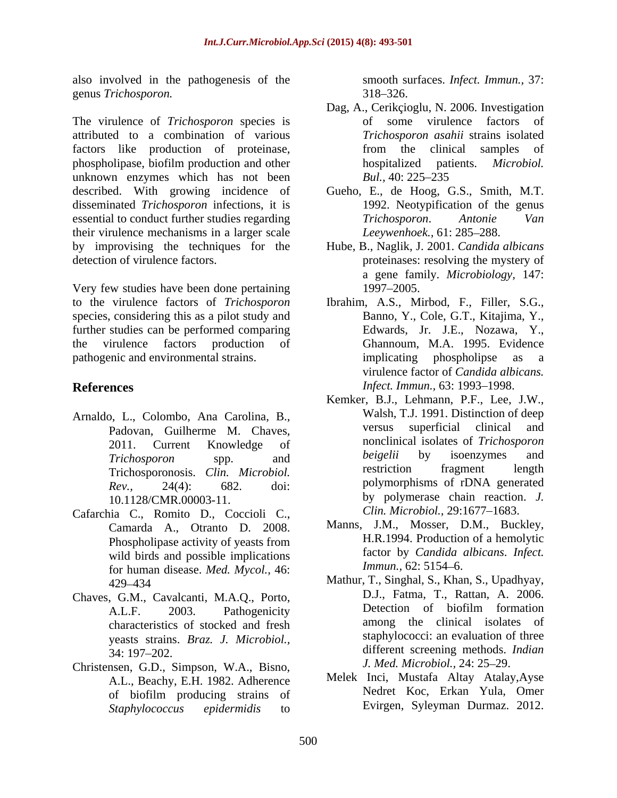also involved in the pathogenesis of the

attributed to a combination of various factors like production of proteinase, from the clinical samples of phospholipase, biofilm production and other hospitalized patients. *Microbiol.* unknown enzymes which has not been Bul., 40: 225–235 described. With growing incidence of Gueho, E., de Hoog, G.S., Smith, M.T. disseminated *Trichosporon* infections, it is essential to conduct further studies regarding Trichosporon. Antonie Van their virulence mechanisms in a larger scale by improvising the techniques for the Hube, B., Naglik, J. 2001. *Candida albicans* detection of virulence factors. proteinases: resolving the mystery of

Very few studies have been done pertaining species, considering this as a pilot study and further studies can be performed comparing pathogenic and environmental strains. The implicating phospholipse as a particular strains.

- Arnaldo, L., Colombo, Ana Carolina, B.,<br>Padovan Guilherme M. Chaves versus superficial clinical and Padovan, Guilherme M. Chaves,
- Cafarchia C., Romito D., Coccioli C., Camarda A., Otranto D. 2008. Phospholipase activity of yeasts from wild birds and possible implications tactor by Candida a<br>for human disease Med Mycal 46: Immun., 62: 5154–6. for human disease. *Med. Mycol.,* 46:
- characteristics of stocked and fresh yeasts strains. *Braz. J. Microbiol.,*
- Christensen, G.D., Simpson, W.A., Bisno, A.L., Beachy, E.H. 1982. Adherence *Staphylococcus epidermidis* to Evirgen, Syleyman Durmaz. 2012.

smooth surfaces. *Infect. Immun.,* 37:  $318 - 326.$ 

- genus *Trichosporon.* 318–326.<br>
Dag, A., Cerikçioglu, N. 2006. Investigation<br>
The virulence of *Trichosporon* species is of some virulence factors of Dag, A., Cerikçioglu, N. 2006. Investigation of some virulence factors of *Trichosporon asahii* strains isolated from the clinical samples of hospitalized patients. *Microbiol. Bul.,* 40: 225–235
	- 1992. Neotypification of the genus *Trichosporon*. *Antonie Van* Leeywenhoek., 61: 285-288.
	- a gene family. *Microbiology,* 147: 1997–2005.
- to the virulence factors of *Trichosporon* Ibrahim, A.S., Mirbod, F., Filler, S.G., the virulence factors production of Ghannoum, M.A. 1995. Evidence **References** *Infect. Immun.*, 63: 1993–1998. Banno, Y., Cole, G.T., Kitajima, Y., Edwards, Jr. J.E., Nozawa, Y., implicating phospholipse virulence factor of *Candida albicans.*
	- 2011. Current Knowledge of **nonclinical** isolates of *Inchosporon Trichosporon* spp. and Trichosporonosis. *Clin. Microbiol. Rev.*, 24(4): 682. doi: polymorphisms of rDNA generated 10.1128/CMR.00003-11. by polymerase chain reaction. *J.* Kemker, B.J., Lehmann, P.F., Lee, J.W., Walsh, T.J. 1991. Distinction of deep versus superficial clinical and nonclinical isolates of *Trichosporon beigelii* by isoenzymes and restriction fragment length polymorphisms of rDNA generated *Clin. Microbiol., 29:1677-1683.* 
		- Manns, J.M., Mosser, D.M., Buckley, H.R.1994. Production of a hemolytic factor by *Candida albicans*. *Infect. Immun.,* 62: 5154–6.
- 429 434 Mathur, T., Singhal, S., Khan, S., Upadhyay, Chaves, G.M., Cavalcanti, M.A.Q., Porto, D.J., Fatma, T., Kattan, A. 2006.<br>A L E 2003 Pathoganicity Detection of biofilm formation A.L.F. 2003. Pathogenicity Detection of biofilm formation 34: 197–202. **Example 2018** altritude of the different screening methods. *Indian* D.J., Fatma, T., Rattan, A. 2006. Detection of biofilm formation among the clinical isolates of staphylococci: an evaluation of three different screening methods. *Indian J. Med. Microbiol.,* 24: 25 29.
	- of biofilm producing strains of **Netherly Netterly** Roc, Erkan Yula, Omer Melek Inci, Mustafa Altay Atalay,Ayse Nedret Koc, Erkan Yula, Omer